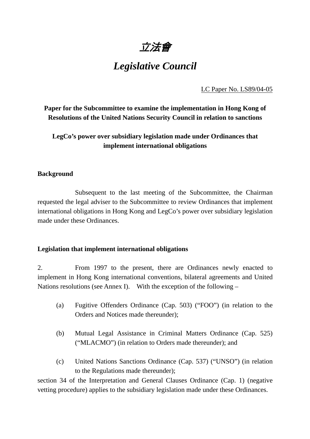立法會

# *Legislative Council*

LC Paper No. LS89/04-05

**Paper for the Subcommittee to examine the implementation in Hong Kong of Resolutions of the United Nations Security Council in relation to sanctions** 

**LegCo's power over subsidiary legislation made under Ordinances that implement international obligations** 

### **Background**

 Subsequent to the last meeting of the Subcommittee, the Chairman requested the legal adviser to the Subcommittee to review Ordinances that implement international obligations in Hong Kong and LegCo's power over subsidiary legislation made under these Ordinances.

### **Legislation that implement international obligations**

2. From 1997 to the present, there are Ordinances newly enacted to implement in Hong Kong international conventions, bilateral agreements and United Nations resolutions (see Annex I). With the exception of the following –

- (a) Fugitive Offenders Ordinance (Cap. 503) ("FOO") (in relation to the Orders and Notices made thereunder);
- (b) Mutual Legal Assistance in Criminal Matters Ordinance (Cap. 525) ("MLACMO") (in relation to Orders made thereunder); and
- (c) United Nations Sanctions Ordinance (Cap. 537) ("UNSO") (in relation to the Regulations made thereunder);

section 34 of the Interpretation and General Clauses Ordinance (Cap. 1) (negative vetting procedure) applies to the subsidiary legislation made under these Ordinances.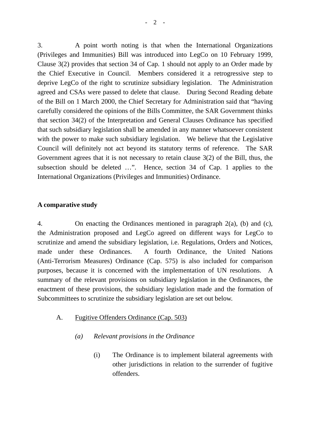3. A point worth noting is that when the International Organizations (Privileges and Immunities) Bill was introduced into LegCo on 10 February 1999, Clause 3(2) provides that section 34 of Cap. 1 should not apply to an Order made by the Chief Executive in Council. Members considered it a retrogressive step to deprive LegCo of the right to scrutinize subsidiary legislation. The Administration agreed and CSAs were passed to delete that clause. During Second Reading debate of the Bill on 1 March 2000, the Chief Secretary for Administration said that "having carefully considered the opinions of the Bills Committee, the SAR Government thinks that section 34(2) of the Interpretation and General Clauses Ordinance has specified that such subsidiary legislation shall be amended in any manner whatsoever consistent with the power to make such subsidiary legislation. We believe that the Legislative Council will definitely not act beyond its statutory terms of reference. The SAR Government agrees that it is not necessary to retain clause 3(2) of the Bill, thus, the subsection should be deleted …". Hence, section 34 of Cap. 1 applies to the International Organizations (Privileges and Immunities) Ordinance.

#### **A comparative study**

4. On enacting the Ordinances mentioned in paragraph 2(a), (b) and (c), the Administration proposed and LegCo agreed on different ways for LegCo to scrutinize and amend the subsidiary legislation, i.e. Regulations, Orders and Notices, made under these Ordinances. A fourth Ordinance, the United Nations (Anti-Terrorism Measures) Ordinance (Cap. 575) is also included for comparison purposes, because it is concerned with the implementation of UN resolutions. A summary of the relevant provisions on subsidiary legislation in the Ordinances, the enactment of these provisions, the subsidiary legislation made and the formation of Subcommittees to scrutinize the subsidiary legislation are set out below.

- A. Fugitive Offenders Ordinance (Cap. 503)
	- *(a) Relevant provisions in the Ordinance* 
		- (i) The Ordinance is to implement bilateral agreements with other jurisdictions in relation to the surrender of fugitive offenders.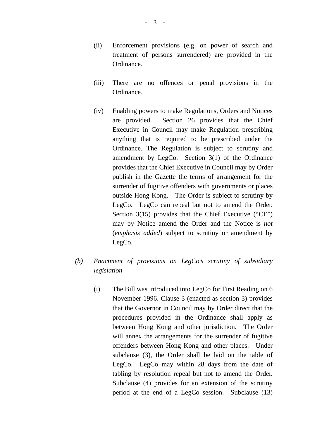- (ii) Enforcement provisions (e.g. on power of search and treatment of persons surrendered) are provided in the Ordinance.
- (iii) There are no offences or penal provisions in the Ordinance.
- (iv) Enabling powers to make Regulations, Orders and Notices are provided. Section 26 provides that the Chief Executive in Council may make Regulation prescribing anything that is required to be prescribed under the Ordinance. The Regulation is subject to scrutiny and amendment by LegCo. Section 3(1) of the Ordinance provides that the Chief Executive in Council may by Order publish in the Gazette the terms of arrangement for the surrender of fugitive offenders with governments or places outside Hong Kong. The Order is subject to scrutiny by LegCo. LegCo can repeal but not to amend the Order. Section 3(15) provides that the Chief Executive ("CE") may by Notice amend the Order and the Notice is *not*  (*emphasis added*) subject to scrutiny or amendment by LegCo.
- *(b) Enactment of provisions on LegCo's scrutiny of subsidiary legislation* 
	- (i) The Bill was introduced into LegCo for First Reading on 6 November 1996. Clause 3 (enacted as section 3) provides that the Governor in Council may by Order direct that the procedures provided in the Ordinance shall apply as between Hong Kong and other jurisdiction. The Order will annex the arrangements for the surrender of fugitive offenders between Hong Kong and other places. Under subclause (3), the Order shall be laid on the table of LegCo. LegCo may within 28 days from the date of tabling by resolution repeal but not to amend the Order. Subclause (4) provides for an extension of the scrutiny period at the end of a LegCo session. Subclause (13)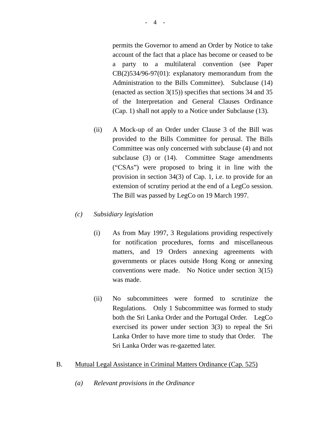permits the Governor to amend an Order by Notice to take account of the fact that a place has become or ceased to be a party to a multilateral convention (see Paper CB(2)534/96-97(01): explanatory memorandum from the Administration to the Bills Committee). Subclause (14) (enacted as section 3(15)) specifies that sections 34 and 35 of the Interpretation and General Clauses Ordinance (Cap. 1) shall not apply to a Notice under Subclause (13).

(ii) A Mock-up of an Order under Clause 3 of the Bill was provided to the Bills Committee for perusal. The Bills Committee was only concerned with subclause (4) and not subclause (3) or (14). Committee Stage amendments ("CSAs") were proposed to bring it in line with the provision in section 34(3) of Cap. 1, i.e. to provide for an extension of scrutiny period at the end of a LegCo session. The Bill was passed by LegCo on 19 March 1997.

#### *(c) Subsidiary legislation*

- (i) As from May 1997, 3 Regulations providing respectively for notification procedures, forms and miscellaneous matters, and 19 Orders annexing agreements with governments or places outside Hong Kong or annexing conventions were made. No Notice under section 3(15) was made.
- (ii) No subcommittees were formed to scrutinize the Regulations. Only 1 Subcommittee was formed to study both the Sri Lanka Order and the Portugal Order. LegCo exercised its power under section 3(3) to repeal the Sri Lanka Order to have more time to study that Order. The Sri Lanka Order was re-gazetted later.
- B. Mutual Legal Assistance in Criminal Matters Ordinance (Cap. 525)
	- *(a) Relevant provisions in the Ordinance*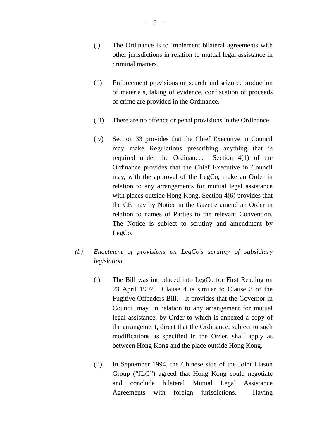- (i) The Ordinance is to implement bilateral agreements with other jurisdictions in relation to mutual legal assistance in criminal matters.
- (ii) Enforcement provisions on search and seizure, production of materials, taking of evidence, confiscation of proceeds of crime are provided in the Ordinance.
- (iii) There are no offence or penal provisions in the Ordinance.
- (iv) Section 33 provides that the Chief Executive in Council may make Regulations prescribing anything that is required under the Ordinance. Section 4(1) of the Ordinance provides that the Chief Executive in Council may, with the approval of the LegCo, make an Order in relation to any arrangements for mutual legal assistance with places outside Hong Kong. Section 4(6) provides that the CE may by Notice in the Gazette amend an Order in relation to names of Parties to the relevant Convention. The Notice is subject to scrutiny and amendment by LegCo.
- *(b) Enactment of provisions on LegCo's scrutiny of subsidiary legislation*
	- (i) The Bill was introduced into LegCo for First Reading on 23 April 1997. Clause 4 is similar to Clause 3 of the Fugitive Offenders Bill. It provides that the Governor in Council may, in relation to any arrangement for mutual legal assistance, by Order to which is annexed a copy of the arrangement, direct that the Ordinance, subject to such modifications as specified in the Order, shall apply as between Hong Kong and the place outside Hong Kong.
	- (ii) In September 1994, the Chinese side of the Joint Liason Group ("JLG") agreed that Hong Kong could negotiate and conclude bilateral Mutual Legal Assistance Agreements with foreign jurisdictions. Having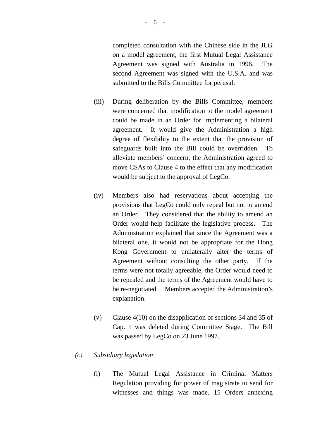completed consultation with the Chinese side in the JLG on a model agreement, the first Mutual Legal Assistance Agreement was signed with Australia in 1996. The second Agreement was signed with the U.S.A. and was submitted to the Bills Committee for perusal.

- (iii) During deliberation by the Bills Committee, members were concerned that modification to the model agreement could be made in an Order for implementing a bilateral agreement. It would give the Administration a high degree of flexibility to the extent that the provision of safeguards built into the Bill could be overridden. To alleviate members' concern, the Administration agreed to move CSAs to Clause 4 to the effect that any modification would be subject to the approval of LegCo.
- (iv) Members also had reservations about accepting the provisions that LegCo could only repeal but not to amend an Order. They considered that the ability to amend an Order would help facilitate the legislative process. The Administration explained that since the Agreement was a bilateral one, it would not be appropriate for the Hong Kong Government to unilaterally alter the terms of Agreement without consulting the other party. If the terms were not totally agreeable, the Order would need to be repealed and the terms of the Agreement would have to be re-negotiated. Members accepted the Administration's explanation.
- (v) Clause 4(10) on the disapplication of sections 34 and 35 of Cap. 1 was deleted during Committee Stage. The Bill was passed by LegCo on 23 June 1997.

#### *(c) Subsidiary legislation*

(i) The Mutual Legal Assistance in Criminal Matters Regulation providing for power of magistrate to send for witnesses and things was made. 15 Orders annexing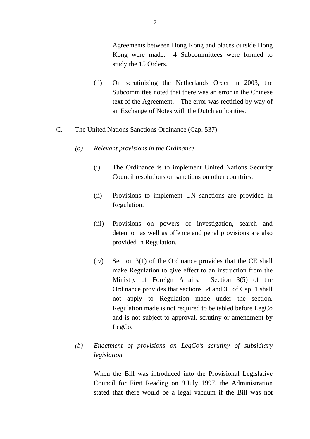Agreements between Hong Kong and places outside Hong Kong were made. 4 Subcommittees were formed to study the 15 Orders.

(ii) On scrutinizing the Netherlands Order in 2003, the Subcommittee noted that there was an error in the Chinese text of the Agreement. The error was rectified by way of an Exchange of Notes with the Dutch authorities.

#### C. The United Nations Sanctions Ordinance (Cap. 537)

- *(a) Relevant provisions in the Ordinance* 
	- (i) The Ordinance is to implement United Nations Security Council resolutions on sanctions on other countries.
	- (ii) Provisions to implement UN sanctions are provided in Regulation.
	- (iii) Provisions on powers of investigation, search and detention as well as offence and penal provisions are also provided in Regulation.
	- (iv) Section 3(1) of the Ordinance provides that the CE shall make Regulation to give effect to an instruction from the Ministry of Foreign Affairs. Section 3(5) of the Ordinance provides that sections 34 and 35 of Cap. 1 shall not apply to Regulation made under the section. Regulation made is not required to be tabled before LegCo and is not subject to approval, scrutiny or amendment by LegCo.

## *(b) Enactment of provisions on LegCo's scrutiny of subsidiary legislation*

When the Bill was introduced into the Provisional Legislative Council for First Reading on 9 July 1997, the Administration stated that there would be a legal vacuum if the Bill was not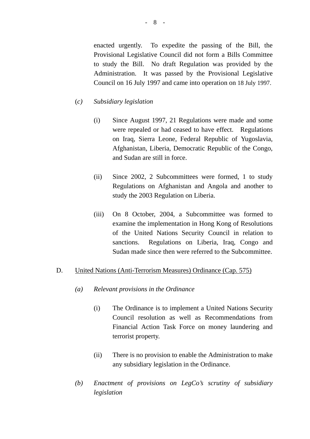enacted urgently. To expedite the passing of the Bill, the Provisional Legislative Council did not form a Bills Committee to study the Bill. No draft Regulation was provided by the Administration. It was passed by the Provisional Legislative Council on 16 July 1997 and came into operation on 18 July 1997.

#### (*c) Subsidiary legislation*

- (i) Since August 1997, 21 Regulations were made and some were repealed or had ceased to have effect. Regulations on Iraq, Sierra Leone, Federal Republic of Yugoslavia, Afghanistan, Liberia, Democratic Republic of the Congo, and Sudan are still in force.
- (ii) Since 2002, 2 Subcommittees were formed, 1 to study Regulations on Afghanistan and Angola and another to study the 2003 Regulation on Liberia.
- (iii) On 8 October, 2004, a Subcommittee was formed to examine the implementation in Hong Kong of Resolutions of the United Nations Security Council in relation to sanctions. Regulations on Liberia, Iraq, Congo and Sudan made since then were referred to the Subcommittee.

#### D. United Nations (Anti-Terrorism Measures) Ordinance (Cap. 575)

- *(a) Relevant provisions in the Ordinance* 
	- (i) The Ordinance is to implement a United Nations Security Council resolution as well as Recommendations from Financial Action Task Force on money laundering and terrorist property.
	- (ii) There is no provision to enable the Administration to make any subsidiary legislation in the Ordinance.
- *(b) Enactment of provisions on LegCo's scrutiny of subsidiary legislation*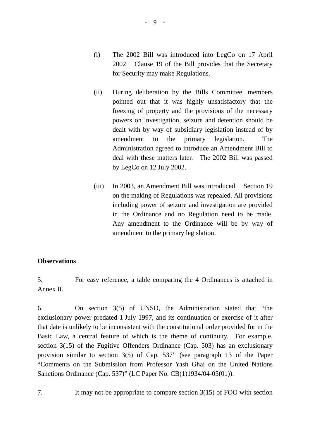- (i) The 2002 Bill was introduced into LegCo on 17 April 2002. Clause 19 of the Bill provides that the Secretary for Security may make Regulations.
- (ii) During deliberation by the Bills Committee, members pointed out that it was highly unsatisfactory that the freezing of property and the provisions of the necessary powers on investigation, seizure and detention should be dealt with by way of subsidiary legislation instead of by amendment to the primary legislation. The Administration agreed to introduce an Amendment Bill to deal with these matters later. The 2002 Bill was passed by LegCo on 12 July 2002.
- (iii) In 2003, an Amendment Bill was introduced. Section 19 on the making of Regulations was repealed. All provisions including power of seizure and investigation are provided in the Ordinance and no Regulation need to be made. Any amendment to the Ordinance will be by way of amendment to the primary legislation.

### **Observations**

5. For easy reference, a table comparing the 4 Ordinances is attached in Annex II.

6. On section 3(5) of UNSO, the Administration stated that "the exclusionary power predated 1 July 1997, and its continuation or exercise of it after that date is unlikely to be inconsistent with the constitutional order provided for in the Basic Law, a central feature of which is the theme of continuity. For example, section 3(15) of the Fugitive Offenders Ordinance (Cap. 503) has an exclusionary provision similar to section 3(5) of Cap. 537" (see paragraph 13 of the Paper "Comments on the Submission from Professor Yash Ghai on the United Nations Sanctions Ordinance (Cap. 537)" (LC Paper No. CB(1)1934/04-05(01)).

7. It may not be appropriate to compare section 3(15) of FOO with section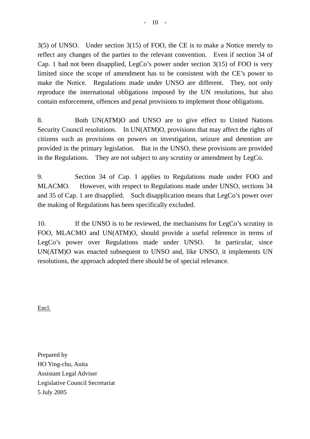3(5) of UNSO. Under section 3(15) of FOO, the CE is to make a Notice merely to reflect any changes of the parties to the relevant convention. Even if section 34 of Cap. 1 had not been disapplied, LegCo's power under section 3(15) of FOO is very limited since the scope of amendment has to be consistent with the CE's power to make the Notice. Regulations made under UNSO are different. They, not only reproduce the international obligations imposed by the UN resolutions, but also contain enforcement, offences and penal provisions to implement those obligations.

8. Both UN(ATM)O and UNSO are to give effect to United Nations Security Council resolutions. In UN(ATM)O, provisions that may affect the rights of citizens such as provisions on powers on investigation, seizure and detention are provided in the primary legislation. But in the UNSO, these provisions are provided in the Regulations. They are not subject to any scrutiny or amendment by LegCo.

9. Section 34 of Cap. 1 applies to Regulations made under FOO and MLACMO. However, with respect to Regulations made under UNSO, sections 34 and 35 of Cap. 1 are disapplied. Such disapplication means that LegCo's power over the making of Regulations has been specifically excluded.

10. If the UNSO is to be reviewed, the mechanisms for LegCo's scrutiny in FOO, MLACMO and UN(ATM)O, should provide a useful reference in terms of LegCo's power over Regulations made under UNSO. In particular, since UN(ATM)O was enacted subsequent to UNSO and, like UNSO, it implements UN resolutions, the approach adopted there should be of special relevance.

Encl.

Prepared by HO Ying-chu, Anita Assistant Legal Adviser Legislative Council Secretariat 5 July 2005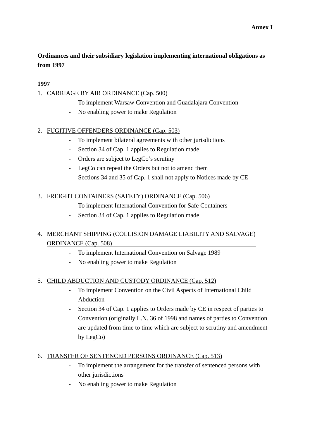## **Ordinances and their subsidiary legislation implementing international obligations as from 1997**

### **1997**

### 1. CARRIAGE BY AIR ORDINANCE (Cap. 500)

- To implement Warsaw Convention and Guadalajara Convention
- No enabling power to make Regulation

## 2. FUGITIVE OFFENDERS ORDINANCE (Cap. 503)

- To implement bilateral agreements with other jurisdictions
- Section 34 of Cap. 1 applies to Regulation made.
- Orders are subject to LegCo's scrutiny
- LegCo can repeal the Orders but not to amend them
- Sections 34 and 35 of Cap. 1 shall not apply to Notices made by CE

### 3. FREIGHT CONTAINERS (SAFETY) ORDINANCE (Cap. 506)

- To implement International Convention for Safe Containers
- Section 34 of Cap. 1 applies to Regulation made

## 4. MERCHANT SHIPPING (COLLISION DAMAGE LIABILITY AND SALVAGE) ORDINANCE (Cap. 508)

- To implement International Convention on Salvage 1989
- No enabling power to make Regulation

### 5. CHILD ABDUCTION AND CUSTODY ORDINANCE (Cap. 512)

- To implement Convention on the Civil Aspects of International Child Abduction
- Section 34 of Cap. 1 applies to Orders made by CE in respect of parties to Convention (originally L.N. 36 of 1998 and names of parties to Convention are updated from time to time which are subject to scrutiny and amendment by LegCo)

### 6. TRANSFER OF SENTENCED PERSONS ORDINANCE (Cap. 513)

- To implement the arrangement for the transfer of sentenced persons with other jurisdictions
- No enabling power to make Regulation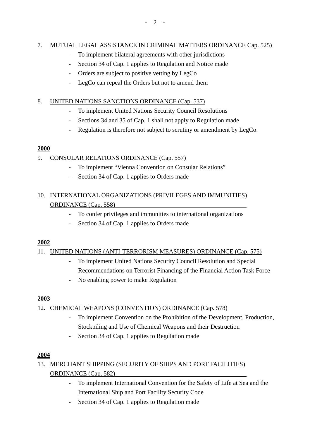# 7. MUTUAL LEGAL ASSISTANCE IN CRIMINAL MATTERS ORDINANCE Cap. 525)

- To implement bilateral agreements with other jurisdictions
- Section 34 of Cap. 1 applies to Regulation and Notice made
- Orders are subject to positive vetting by LegCo
- LegCo can repeal the Orders but not to amend them

## 8. UNITED NATIONS SANCTIONS ORDINANCE (Cap. 537)

- To implement United Nations Security Council Resolutions
- Sections 34 and 35 of Cap. 1 shall not apply to Regulation made
- Regulation is therefore not subject to scrutiny or amendment by LegCo.

## **2000**

## 9. CONSULAR RELATIONS ORDINANCE (Cap. 557)

- To implement "Vienna Convention on Consular Relations"
- Section 34 of Cap. 1 applies to Orders made

## 10. INTERNATIONAL ORGANIZATIONS (PRIVILEGES AND IMMUNITIES) ORDINANCE (Cap. 558)

- To confer privileges and immunities to international organizations
- Section 34 of Cap. 1 applies to Orders made

## **2002**

## 11. UNITED NATIONS (ANTI-TERRORISM MEASURES) ORDINANCE (Cap. 575)

- To implement United Nations Security Council Resolution and Special Recommendations on Terrorist Financing of the Financial Action Task Force
- No enabling power to make Regulation

## **2003**

# 12. CHEMICAL WEAPONS (CONVENTION) ORDINANCE (Cap. 578)

- To implement Convention on the Prohibition of the Development, Production, Stockpiling and Use of Chemical Weapons and their Destruction
- Section 34 of Cap. 1 applies to Regulation made

## **2004**

## 13. MERCHANT SHIPPING (SECURITY OF SHIPS AND PORT FACILITIES) ORDINANCE (Cap. 582)

- To implement International Convention for the Safety of Life at Sea and the International Ship and Port Facility Security Code
- Section 34 of Cap. 1 applies to Regulation made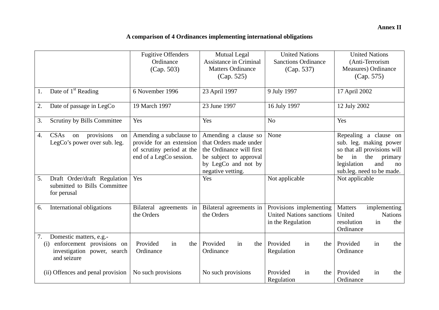# **A comparison of 4 Ordinances implementing international obligations**

|    |                                                                                                           | <b>Fugitive Offenders</b><br>Ordinance<br>(Cap. 503)                                                        | <b>Mutual Legal</b><br>Assistance in Criminal<br><b>Matters Ordinance</b><br>(Cap. 525)                                                          | <b>United Nations</b><br><b>Sanctions Ordinance</b><br>(Cap. 537)               | <b>United Nations</b><br>(Anti-Terrorism<br>Measures) Ordinance<br>(Cap. 575)                                                                                         |
|----|-----------------------------------------------------------------------------------------------------------|-------------------------------------------------------------------------------------------------------------|--------------------------------------------------------------------------------------------------------------------------------------------------|---------------------------------------------------------------------------------|-----------------------------------------------------------------------------------------------------------------------------------------------------------------------|
| 1. | Date of $1st$ Reading                                                                                     | 6 November 1996                                                                                             | 23 April 1997                                                                                                                                    | 9 July 1997                                                                     | 17 April 2002                                                                                                                                                         |
| 2. | Date of passage in LegCo                                                                                  | 19 March 1997                                                                                               | 23 June 1997                                                                                                                                     | 16 July 1997                                                                    | 12 July 2002                                                                                                                                                          |
| 3. | Scrutiny by Bills Committee                                                                               | Yes                                                                                                         | Yes                                                                                                                                              | N <sub>o</sub>                                                                  | Yes                                                                                                                                                                   |
| 4. | <b>CSAs</b><br>provisions<br>on<br>on<br>LegCo's power over sub. leg.                                     | Amending a subclause to<br>provide for an extension<br>of scrutiny period at the<br>end of a LegCo session. | Amending a clause so<br>that Orders made under<br>the Ordinance will first<br>be subject to approval<br>by LegCo and not by<br>negative vetting. | None                                                                            | Repealing a clause on<br>sub. leg. making power<br>so that all provisions will<br>in<br>the<br>primary<br>be<br>legislation<br>and<br>no<br>sub.leg. need to be made. |
| 5. | Draft Order/draft Regulation<br>submitted to Bills Committee<br>for perusal                               | Yes                                                                                                         | Yes                                                                                                                                              | Not applicable                                                                  | Not applicable                                                                                                                                                        |
| 6. | International obligations                                                                                 | Bilateral agreements in<br>the Orders                                                                       | Bilateral agreements in<br>the Orders                                                                                                            | Provisions implementing<br><b>United Nations sanctions</b><br>in the Regulation | Matters<br>implementing<br>United<br><b>Nations</b><br>in<br>resolution<br>the<br>Ordinance                                                                           |
| 7. | Domestic matters, e.g.-<br>enforcement provisions on<br>(i)<br>investigation power, search<br>and seizure | Provided<br>in<br>the<br>Ordinance                                                                          | Provided<br>in<br>the<br>Ordinance                                                                                                               | Provided<br>in<br>the<br>Regulation                                             | Provided<br>in<br>the<br>Ordinance                                                                                                                                    |
|    | (ii) Offences and penal provision                                                                         | No such provisions                                                                                          | No such provisions                                                                                                                               | Provided<br>in<br>the<br>Regulation                                             | Provided<br>in<br>the<br>Ordinance                                                                                                                                    |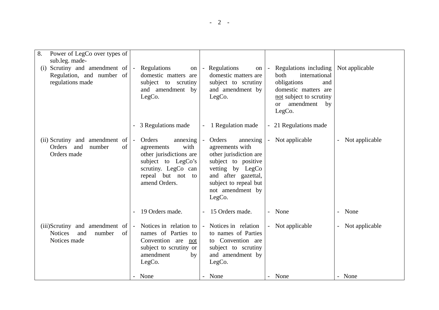| 8. | Power of LegCo over types of<br>sub.leg. made-<br>(i) Scrutiny and amendment of $\vert$ -<br>Regulation, and number of<br>regulations made |    | Regulations<br>on<br>domestic matters are<br>subject to scrutiny<br>and amendment by<br>LegCo.                                                                           |          | - Regulations<br>on<br>domestic matters are<br>subject to scrutiny<br>and amendment by<br>LegCo.                                                                                         |                          | Regulations including<br>both<br>international<br>obligations<br>and<br>domestic matters are<br>not subject to scrutiny<br>amendment<br>by<br>$\alpha$<br>LegCo. | Not applicable |
|----|--------------------------------------------------------------------------------------------------------------------------------------------|----|--------------------------------------------------------------------------------------------------------------------------------------------------------------------------|----------|------------------------------------------------------------------------------------------------------------------------------------------------------------------------------------------|--------------------------|------------------------------------------------------------------------------------------------------------------------------------------------------------------|----------------|
|    |                                                                                                                                            |    | 3 Regulations made                                                                                                                                                       |          | 1 Regulation made                                                                                                                                                                        |                          | 21 Regulations made                                                                                                                                              |                |
|    | (ii) Scrutiny and amendment of<br>and<br>Orders<br>number<br>Orders made                                                                   | of | Orders<br>annexing<br>$\blacksquare$<br>with<br>agreements<br>other jurisdictions are<br>subject to LegCo's<br>scrutiny. LegCo can<br>repeal but not to<br>amend Orders. | $\equiv$ | Orders<br>annexing<br>agreements with<br>other jurisdiction are<br>subject to positive<br>vetting by LegCo<br>and after gazettal,<br>subject to repeal but<br>not amendment by<br>LegCo. | $\overline{\phantom{a}}$ | Not applicable                                                                                                                                                   | Not applicable |
|    |                                                                                                                                            |    | 19 Orders made.                                                                                                                                                          |          | 15 Orders made.                                                                                                                                                                          |                          | None                                                                                                                                                             | None           |
|    | (iii)Scrutiny and amendment of<br><b>Notices</b><br>and<br>number<br>Notices made                                                          | of | Notices in relation to<br>$\sim$<br>names of Parties to<br>Convention are not<br>subject to scrutiny or<br>amendment<br>by<br>LegCo.                                     |          | - Notices in relation<br>to names of Parties<br>to Convention are<br>subject to scrutiny<br>and amendment by<br>LegCo.                                                                   |                          | Not applicable                                                                                                                                                   | Not applicable |
|    |                                                                                                                                            |    | None                                                                                                                                                                     |          | None                                                                                                                                                                                     |                          | - None                                                                                                                                                           | - None         |